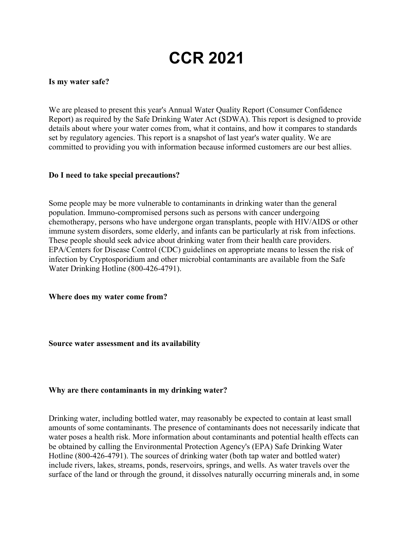# **CCR 2021**

#### **Is my water safe?**

We are pleased to present this year's Annual Water Quality Report (Consumer Confidence Report) as required by the Safe Drinking Water Act (SDWA). This report is designed to provide details about where your water comes from, what it contains, and how it compares to standards set by regulatory agencies. This report is a snapshot of last year's water quality. We are committed to providing you with information because informed customers are our best allies.

#### **Do I need to take special precautions?**

Some people may be more vulnerable to contaminants in drinking water than the general population. Immuno-compromised persons such as persons with cancer undergoing chemotherapy, persons who have undergone organ transplants, people with HIV/AIDS or other immune system disorders, some elderly, and infants can be particularly at risk from infections. These people should seek advice about drinking water from their health care providers. EPA/Centers for Disease Control (CDC) guidelines on appropriate means to lessen the risk of infection by Cryptosporidium and other microbial contaminants are available from the Safe Water Drinking Hotline (800-426-4791).

**Where does my water come from?**

**Source water assessment and its availability**

#### **Why are there contaminants in my drinking water?**

Drinking water, including bottled water, may reasonably be expected to contain at least small amounts of some contaminants. The presence of contaminants does not necessarily indicate that water poses a health risk. More information about contaminants and potential health effects can be obtained by calling the Environmental Protection Agency's (EPA) Safe Drinking Water Hotline (800-426-4791). The sources of drinking water (both tap water and bottled water) include rivers, lakes, streams, ponds, reservoirs, springs, and wells. As water travels over the surface of the land or through the ground, it dissolves naturally occurring minerals and, in some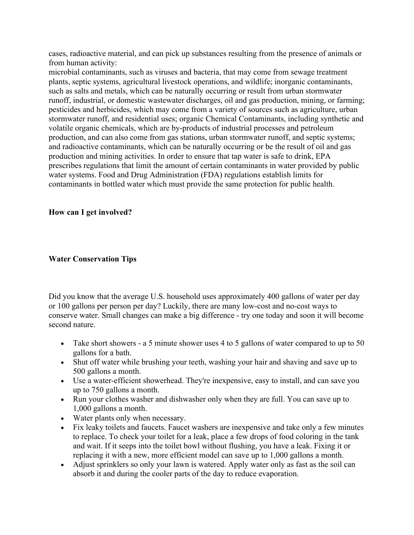cases, radioactive material, and can pick up substances resulting from the presence of animals or from human activity:

microbial contaminants, such as viruses and bacteria, that may come from sewage treatment plants, septic systems, agricultural livestock operations, and wildlife; inorganic contaminants, such as salts and metals, which can be naturally occurring or result from urban stormwater runoff, industrial, or domestic wastewater discharges, oil and gas production, mining, or farming; pesticides and herbicides, which may come from a variety of sources such as agriculture, urban stormwater runoff, and residential uses; organic Chemical Contaminants, including synthetic and volatile organic chemicals, which are by-products of industrial processes and petroleum production, and can also come from gas stations, urban stormwater runoff, and septic systems; and radioactive contaminants, which can be naturally occurring or be the result of oil and gas production and mining activities. In order to ensure that tap water is safe to drink, EPA prescribes regulations that limit the amount of certain contaminants in water provided by public water systems. Food and Drug Administration (FDA) regulations establish limits for contaminants in bottled water which must provide the same protection for public health.

#### **How can I get involved?**

#### **Water Conservation Tips**

Did you know that the average U.S. household uses approximately 400 gallons of water per day or 100 gallons per person per day? Luckily, there are many low-cost and no-cost ways to conserve water. Small changes can make a big difference - try one today and soon it will become second nature.

- Take short showers a 5 minute shower uses 4 to 5 gallons of water compared to up to 50 gallons for a bath.
- Shut off water while brushing your teeth, washing your hair and shaving and save up to 500 gallons a month.
- Use a water-efficient showerhead. They're inexpensive, easy to install, and can save you up to 750 gallons a month.
- Run your clothes washer and dishwasher only when they are full. You can save up to 1,000 gallons a month.
- Water plants only when necessary.
- Fix leaky toilets and faucets. Faucet washers are inexpensive and take only a few minutes to replace. To check your toilet for a leak, place a few drops of food coloring in the tank and wait. If it seeps into the toilet bowl without flushing, you have a leak. Fixing it or replacing it with a new, more efficient model can save up to 1,000 gallons a month.
- Adjust sprinklers so only your lawn is watered. Apply water only as fast as the soil can absorb it and during the cooler parts of the day to reduce evaporation.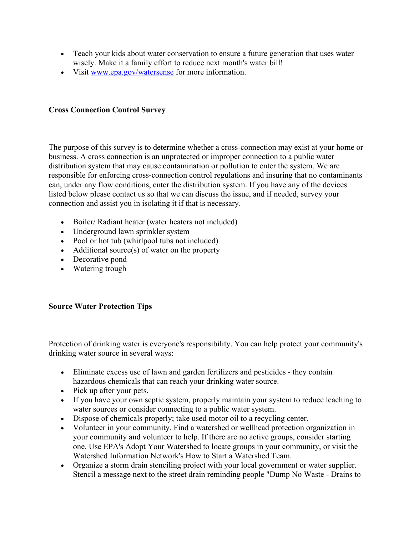- Teach your kids about water conservation to ensure a future generation that uses water wisely. Make it a family effort to reduce next month's water bill!
- Visit [www.epa.gov/watersense](http://www.epa.gov/watersense) for more information.

#### **Cross Connection Control Survey**

The purpose of this survey is to determine whether a cross-connection may exist at your home or business. A cross connection is an unprotected or improper connection to a public water distribution system that may cause contamination or pollution to enter the system. We are responsible for enforcing cross-connection control regulations and insuring that no contaminants can, under any flow conditions, enter the distribution system. If you have any of the devices listed below please contact us so that we can discuss the issue, and if needed, survey your connection and assist you in isolating it if that is necessary.

- Boiler/ Radiant heater (water heaters not included)
- Underground lawn sprinkler system
- Pool or hot tub (whirlpool tubs not included)
- Additional source(s) of water on the property
- Decorative pond
- Watering trough

#### **Source Water Protection Tips**

Protection of drinking water is everyone's responsibility. You can help protect your community's drinking water source in several ways:

- Eliminate excess use of lawn and garden fertilizers and pesticides they contain hazardous chemicals that can reach your drinking water source.
- Pick up after your pets.
- If you have your own septic system, properly maintain your system to reduce leaching to water sources or consider connecting to a public water system.
- Dispose of chemicals properly; take used motor oil to a recycling center.
- Volunteer in your community. Find a watershed or wellhead protection organization in your community and volunteer to help. If there are no active groups, consider starting one. Use EPA's Adopt Your Watershed to locate groups in your community, or visit the Watershed Information Network's How to Start a Watershed Team.
- Organize a storm drain stenciling project with your local government or water supplier. Stencil a message next to the street drain reminding people "Dump No Waste - Drains to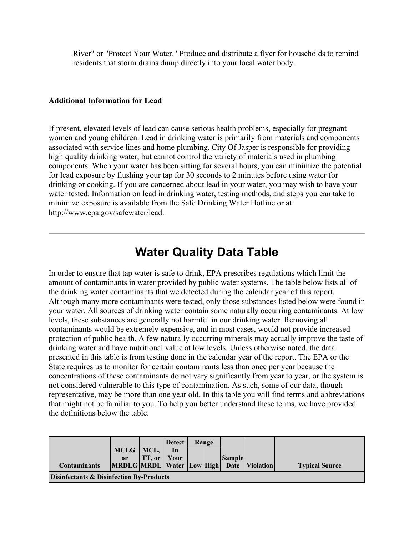River" or "Protect Your Water." Produce and distribute a flyer for households to remind residents that storm drains dump directly into your local water body.

#### **Additional Information for Lead**

If present, elevated levels of lead can cause serious health problems, especially for pregnant women and young children. Lead in drinking water is primarily from materials and components associated with service lines and home plumbing. City Of Jasper is responsible for providing high quality drinking water, but cannot control the variety of materials used in plumbing components. When your water has been sitting for several hours, you can minimize the potential for lead exposure by flushing your tap for 30 seconds to 2 minutes before using water for drinking or cooking. If you are concerned about lead in your water, you may wish to have your water tested. Information on lead in drinking water, testing methods, and steps you can take to minimize exposure is available from the Safe Drinking Water Hotline or at http://www.epa.gov/safewater/lead.

## **Water Quality Data Table**

In order to ensure that tap water is safe to drink, EPA prescribes regulations which limit the amount of contaminants in water provided by public water systems. The table below lists all of the drinking water contaminants that we detected during the calendar year of this report. Although many more contaminants were tested, only those substances listed below were found in your water. All sources of drinking water contain some naturally occurring contaminants. At low levels, these substances are generally not harmful in our drinking water. Removing all contaminants would be extremely expensive, and in most cases, would not provide increased protection of public health. A few naturally occurring minerals may actually improve the taste of drinking water and have nutritional value at low levels. Unless otherwise noted, the data presented in this table is from testing done in the calendar year of the report. The EPA or the State requires us to monitor for certain contaminants less than once per year because the concentrations of these contaminants do not vary significantly from year to year, or the system is not considered vulnerable to this type of contamination. As such, some of our data, though representative, may be more than one year old. In this table you will find terms and abbreviations that might not be familiar to you. To help you better understand these terms, we have provided the definitions below the table.

|                                                     |               |                    | <b>Detect</b> | Range |  |               |                                                   |                       |
|-----------------------------------------------------|---------------|--------------------|---------------|-------|--|---------------|---------------------------------------------------|-----------------------|
|                                                     | $MCLG$   MCL, |                    | In            |       |  |               |                                                   |                       |
|                                                     | or            | <b>TT, or Your</b> |               |       |  | <b>Sample</b> |                                                   |                       |
| <b>Contaminants</b>                                 |               |                    |               |       |  |               | MRDLG MRDL  Water   Low   High   Date   Violation | <b>Typical Source</b> |
| <b>Disinfectants &amp; Disinfection By-Products</b> |               |                    |               |       |  |               |                                                   |                       |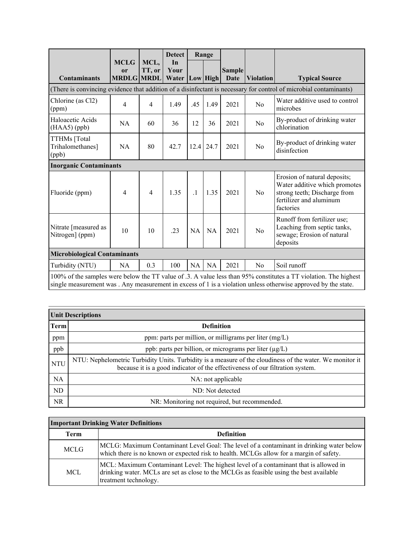|                                                                                                                                                                                                                                    |                                                   |                | <b>Detect</b> |           | Range       |                                      |                  |                                                                                                                                       |
|------------------------------------------------------------------------------------------------------------------------------------------------------------------------------------------------------------------------------------|---------------------------------------------------|----------------|---------------|-----------|-------------|--------------------------------------|------------------|---------------------------------------------------------------------------------------------------------------------------------------|
| <b>Contaminants</b>                                                                                                                                                                                                                | <b>MCLG</b><br><sub>or</sub><br><b>MRDLG MRDL</b> | MCL,<br>TT, or | In<br>Your    |           |             | <b>Sample</b><br>Water Low High Date | <b>Violation</b> | <b>Typical Source</b>                                                                                                                 |
|                                                                                                                                                                                                                                    |                                                   |                |               |           |             |                                      |                  | (There is convincing evidence that addition of a disinfectant is necessary for control of microbial contaminants)                     |
| Chlorine (as Cl2)<br>(ppm)                                                                                                                                                                                                         | 4                                                 | 4              | 1.49          | .45       | 1.49        | 2021                                 | No               | Water additive used to control<br>microbes                                                                                            |
| Haloacetic Acids<br>$(HAA5)$ (ppb)                                                                                                                                                                                                 | <b>NA</b>                                         | 60             | 36            | 12        | 36          | 2021                                 | No               | By-product of drinking water<br>chlorination                                                                                          |
| TTHMs [Total<br>Trihalomethanes]<br>(ppb)                                                                                                                                                                                          | NA                                                | 80             | 42.7          |           | $12.4$ 24.7 | 2021                                 | N <sub>o</sub>   | By-product of drinking water<br>disinfection                                                                                          |
| <b>Inorganic Contaminants</b>                                                                                                                                                                                                      |                                                   |                |               |           |             |                                      |                  |                                                                                                                                       |
| Fluoride (ppm)                                                                                                                                                                                                                     | $\overline{4}$                                    | $\overline{4}$ | 1.35          | $\cdot$ 1 | 1.35        | 2021                                 | No               | Erosion of natural deposits;<br>Water additive which promotes<br>strong teeth; Discharge from<br>fertilizer and aluminum<br>factories |
| Nitrate [measured as<br>Nitrogen] (ppm)                                                                                                                                                                                            | 10                                                | 10             | .23           | <b>NA</b> | <b>NA</b>   | 2021                                 | No               | Runoff from fertilizer use;<br>Leaching from septic tanks,<br>sewage; Erosion of natural<br>deposits                                  |
| <b>Microbiological Contaminants</b>                                                                                                                                                                                                |                                                   |                |               |           |             |                                      |                  |                                                                                                                                       |
| Turbidity (NTU)                                                                                                                                                                                                                    | NA                                                | 0.3            | 100           | <b>NA</b> | <b>NA</b>   | 2021                                 | No               | Soil runoff                                                                                                                           |
| 100% of the samples were below the TT value of .3. A value less than 95% constitutes a TT violation. The highest<br>single measurement was . Any measurement in excess of 1 is a violation unless otherwise approved by the state. |                                                   |                |               |           |             |                                      |                  |                                                                                                                                       |

| <b>Unit Descriptions</b> |                                                                                                                                                                                           |  |  |  |  |
|--------------------------|-------------------------------------------------------------------------------------------------------------------------------------------------------------------------------------------|--|--|--|--|
| Term                     | <b>Definition</b>                                                                                                                                                                         |  |  |  |  |
| ppm                      | ppm: parts per million, or milligrams per liter $(mg/L)$                                                                                                                                  |  |  |  |  |
| ppb                      | ppb: parts per billion, or micrograms per liter $(\mu g/L)$                                                                                                                               |  |  |  |  |
| <b>NTU</b>               | NTU: Nephelometric Turbidity Units. Turbidity is a measure of the cloudiness of the water. We monitor it<br>because it is a good indicator of the effectiveness of our filtration system. |  |  |  |  |
| NA                       | NA: not applicable                                                                                                                                                                        |  |  |  |  |
| ND                       | ND: Not detected                                                                                                                                                                          |  |  |  |  |
| NR.                      | NR: Monitoring not required, but recommended.                                                                                                                                             |  |  |  |  |

### **Important Drinking Water Definitions**

| <b>Term</b> | <b>Definition</b>                                                                                                                                                                                         |
|-------------|-----------------------------------------------------------------------------------------------------------------------------------------------------------------------------------------------------------|
| <b>MCLG</b> | MCLG: Maximum Contaminant Level Goal: The level of a contaminant in drinking water below<br>which there is no known or expected risk to health. MCLGs allow for a margin of safety.                       |
| MCL.        | MCL: Maximum Contaminant Level: The highest level of a contaminant that is allowed in<br>drinking water. MCLs are set as close to the MCLGs as feasible using the best available<br>treatment technology. |